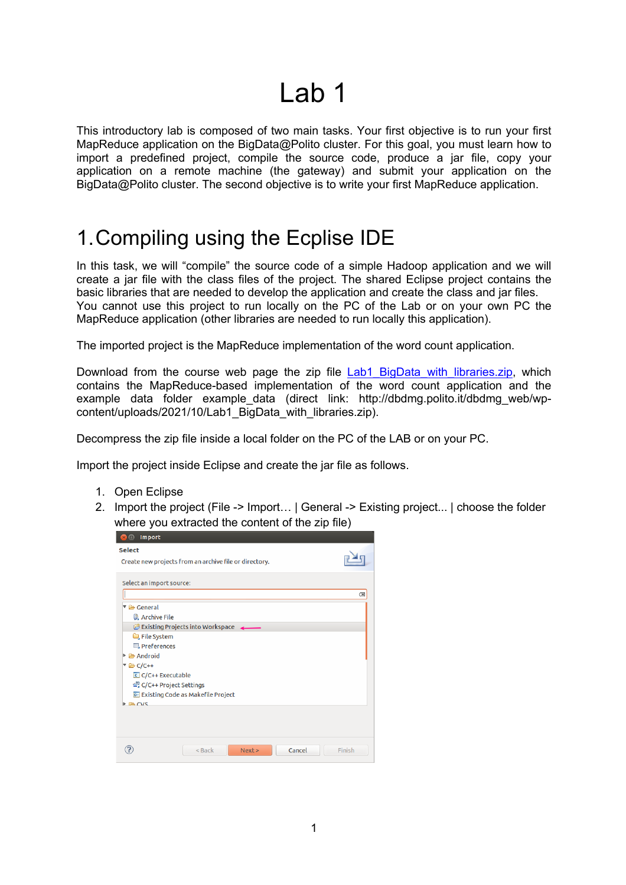# Lab 1

This introductory lab is composed of two main tasks. Your first objective is to run your first MapReduce application on the BigData@Polito cluster. For this goal, you must learn how to import a predefined project, compile the source code, produce a jar file, copy your application on a remote machine (the gateway) and submit your application on the BigData@Polito cluster. The second objective is to write your first MapReduce application.

## 1.Compiling using the Ecplise IDE

In this task, we will "compile" the source code of a simple Hadoop application and we will create a jar file with the class files of the project. The shared Eclipse project contains the basic libraries that are needed to develop the application and create the class and jar files. You cannot use this project to run locally on the PC of the Lab or on your own PC the MapReduce application (other libraries are needed to run locally this application).

The imported project is the MapReduce implementation of the word count application.

Download from the course web page the zip file **Lab1 BigData with libraries.zip**, which contains the MapReduce-based implementation of the word count application and the example data folder example\_data (direct link: http://dbdmg.polito.it/dbdmg\_web/wpcontent/uploads/2021/10/Lab1\_BigData\_with\_libraries.zip).

Decompress the zip file inside a local folder on the PC of the LAB or on your PC.

Import the project inside Eclipse and create the jar file as follows.

- 1. Open Eclipse
- 2. Import the project (File -> Import… | General -> Existing project... | choose the folder where you extracted the content of the zip file)

| <b>Import</b><br>$\Box$                                |          |
|--------------------------------------------------------|----------|
| <b>Select</b>                                          |          |
| Create new projects from an archive file or directory. |          |
|                                                        |          |
| Select an import source:                               |          |
|                                                        | $\infty$ |
| ▼ <b>B</b> General                                     |          |
| <b>B</b> Archive File                                  |          |
| Existing Projects into Workspace                       |          |
| File System                                            |          |
| Preferences                                            |          |
| $\triangleright$ $\triangleright$ Android              |          |
| <b>▼ 2 C/C++</b>                                       |          |
| C C/C++ Executable                                     |          |
| o C/C++ Project Settings                               |          |
| E Existing Code as Makefile Project                    |          |
| $\triangleright$ $\triangleright$ $\cap$ $\vee$ $\leq$ |          |
|                                                        |          |
|                                                        |          |
|                                                        |          |
| < Back<br>Cancel<br>Next                               | Finish   |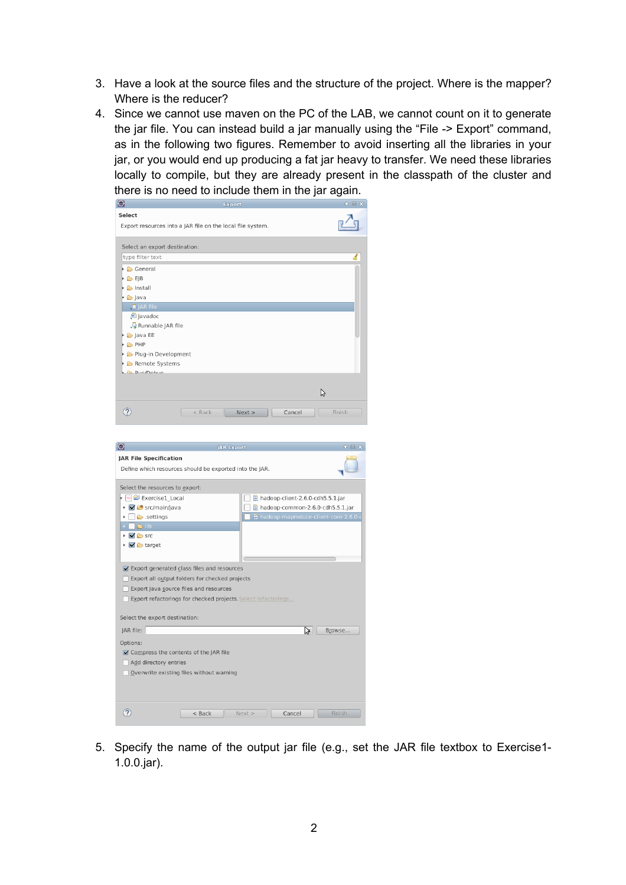- 3. Have a look at the source files and the structure of the project. Where is the mapper? Where is the reducer?
- 4. Since we cannot use maven on the PC of the LAB, we cannot count on it to generate the jar file. You can instead build a jar manually using the "File -> Export" command, as in the following two figures. Remember to avoid inserting all the libraries in your jar, or you would end up producing a fat jar heavy to transfer. We need these libraries locally to compile, but they are already present in the classpath of the cluster and there is no need to include them in the jar again.

| O<br>Export                                                   | $\bullet \equiv \textbf{X}$          |
|---------------------------------------------------------------|--------------------------------------|
| Select                                                        |                                      |
| Export resources into a JAR file on the local file system.    |                                      |
|                                                               |                                      |
| Select an export destination:                                 |                                      |
| type filter text                                              |                                      |
| General                                                       |                                      |
| <b>B</b> EJB                                                  |                                      |
| hstall                                                        |                                      |
| ava                                                           |                                      |
| $\blacksquare$ JAR file                                       |                                      |
| $\Box$ Javadoc                                                |                                      |
| Runnable JAR file                                             |                                      |
| → ava EE                                                      |                                      |
| $\epsilon$ PHP                                                |                                      |
| Plug-in Development                                           |                                      |
| Remote Systems                                                |                                      |
| <b>Dun/Dobun</b>                                              |                                      |
|                                                               |                                      |
|                                                               | ら                                    |
|                                                               |                                      |
| $\circledR$<br>$<$ Back<br>Next                               | Cancel<br>Finish                     |
|                                                               |                                      |
|                                                               |                                      |
| O<br><b>JAR Export</b>                                        | $\hat{\bullet}$ $\Box$ $X$           |
| <b>JAR File Specification</b>                                 |                                      |
|                                                               |                                      |
| Define which resources should be exported into the JAR.       |                                      |
|                                                               |                                      |
| Select the resources to export:                               |                                      |
| Exercise1_Local                                               | hadoop-client-2.6.0-cdh5.5.1.jar     |
| ▶ Ø src/main/java                                             | hadoop-common-2.6.0-cdh5.5.1.jar     |
| $\triangleright \Box \triangleright$ .settings                | hadoop-mapreduce-client-core-2.6.0-d |
| $\bullet$ <b>B</b> lib                                        |                                      |
| $\triangleright$ $\blacksquare$ Src                           |                                      |
| ▶ Ø b target                                                  |                                      |
|                                                               |                                      |
| ☑ Export generated class files and resources                  |                                      |
| Export all output folders for checked projects                |                                      |
| Export Java source files and resources                        |                                      |
| Export refactorings for checked projects. Select refactorings |                                      |
|                                                               |                                      |
| Select the export destination:                                |                                      |
| JAR file:                                                     | グー<br>Browse                         |
| Options:                                                      |                                      |
| ☑ Compress the contents of the JAR file                       |                                      |
| Add directory entries                                         |                                      |
| Overwrite existing files without warning                      |                                      |
|                                                               |                                      |
|                                                               |                                      |
|                                                               |                                      |
| (2)<br>Next<br>$<$ Back                                       | <b>Finish</b><br>Cancel              |

5. Specify the name of the output jar file (e.g., set the JAR file textbox to Exercise1- 1.0.0.jar).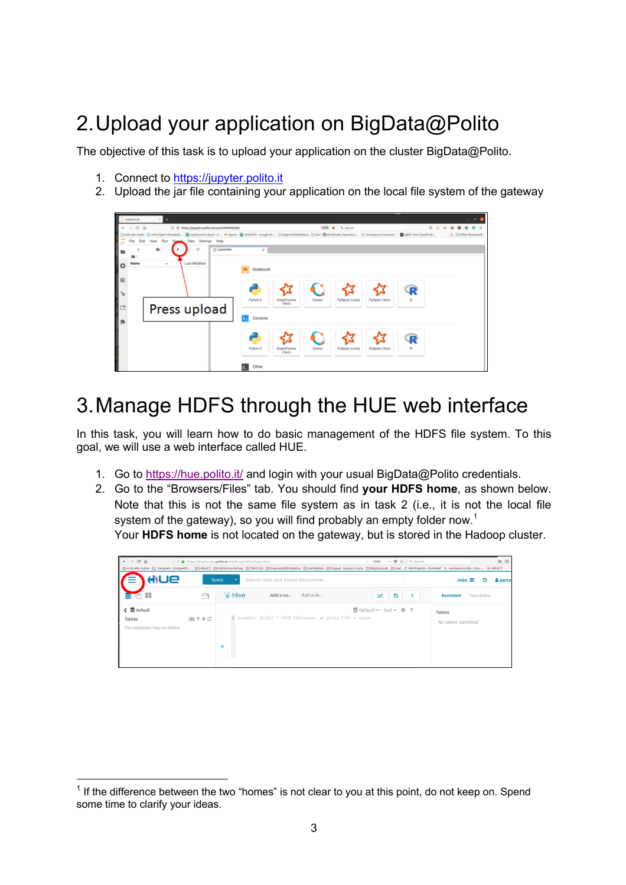## 2.Upload your application on BigData@Polito

The objective of this task is to upload your application on the cluster BigData@Polito.

- 1. Connect to https://jupyter.polito.it
- 2. Upload the jar file containing your application on the local file system of the gateway



## 3.Manage HDFS through the HUE web interface

In this task, you will learn how to do basic management of the HDFS file system. To this goal, we will use a web interface called HUE.

- 1. Go to https://hue.polito.it/ and login with your usual BigData@Polito credentials.
- 2. Go to the "Browsers/Files" tab. You should find **your HDFS home**, as shown below. Note that this is not the same file system as in task 2 (i.e., it is not the local file system of the gateway), so you will find probably an empty folder now.<sup>1</sup> Your **HDFS home** is not located on the gateway, but is stored in the Hadoop cluster.

| $(\Leftrightarrow)$ $\rightarrow$<br>$C$ $\hat{w}$                   |                          | 1 1 https://bigdatalab.polito.it:8080/hue/editor/?type=hive |                                                           |          | ▽ 150% … 図 ☆ Q Search<br>http://tickalleriviste http://tickalsets-Competiti http://texaCT http://texaCT http://texaCT http://texaCT http://texaCT http://texaCT http://texaCT http://texaCT http://texaCT and also countable carta http://texaCT di |                  |                       | $\mathbb{I} \cap \mathbb{I}$ |
|----------------------------------------------------------------------|--------------------------|-------------------------------------------------------------|-----------------------------------------------------------|----------|-----------------------------------------------------------------------------------------------------------------------------------------------------------------------------------------------------------------------------------------------------|------------------|-----------------------|------------------------------|
| HUE                                                                  |                          | Query                                                       | Search data and saved documents                           |          |                                                                                                                                                                                                                                                     |                  | $Jobs \equiv$<br>פי   | & garza                      |
| 88                                                                   | ردی                      | <b>B</b> Hive                                               | Add a na                                                  | Add a de | B<br>مما                                                                                                                                                                                                                                            | <b>Assistant</b> | <b>Functions</b>      |                              |
| $\leq$ $\leq$ default<br><b>Tables</b><br>The database has no tables | $(0)$ $\top$ + $\degree$ | $\overline{ }$                                              | 1 Example: SELECT * FROM tablename, or press CTRL + space |          | 릴 default ▼ text ▼ 登 ?                                                                                                                                                                                                                              | <b>Tables</b>    | No tables identified. |                              |
|                                                                      |                          | Ⅲ▼                                                          |                                                           |          |                                                                                                                                                                                                                                                     |                  |                       |                              |

 $1$  If the difference between the two "homes" is not clear to you at this point, do not keep on. Spend some time to clarify your ideas.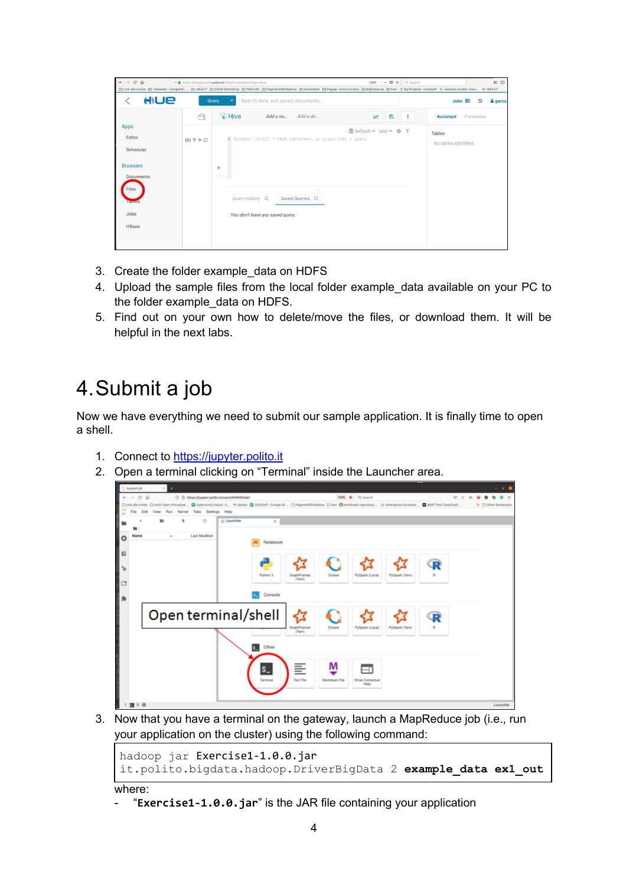| $C$ $\hat{w}$<br>$\leftarrow$ |                             | 1 1 https://bigdatalab.polito.it:8080/hue/editor/?type=hive |                                                           |               | 150% … 四 ☆ Q Search                             | $\Box$ $\Box$                                                                                                                                                                                                          |
|-------------------------------|-----------------------------|-------------------------------------------------------------|-----------------------------------------------------------|---------------|-------------------------------------------------|------------------------------------------------------------------------------------------------------------------------------------------------------------------------------------------------------------------------|
|                               |                             |                                                             |                                                           |               |                                                 | □ Link alle riviste □ Datasets - Competiti □ I-REACT □ DSEM Workshop □ TRECVID □ PagineUtiliDidattica □ VariAdmin □ Paypal - Conto e Carta □ BigDataLab □ Vari 6 My Projects - Overleaf G cantasia studio - Goo © I-RE |
| HUE                           |                             | Query<br>$\overline{\phantom{a}}$                           | Search data and saved documents                           |               |                                                 | $Jobs \equiv$<br>& garza<br>פי                                                                                                                                                                                         |
|                               | الوسط                       | <b>&amp;</b> Hive                                           | Add a na<br>Add a de                                      |               | В<br>K<br>. .                                   | Functions<br><b>Assistant</b>                                                                                                                                                                                          |
| <b>Apps</b><br>Editor         |                             |                                                             |                                                           |               | $\equiv$ default $\sim$ text $\sim$ $\approx$ ? | <b>Tables</b>                                                                                                                                                                                                          |
| Scheduler                     | $(0)$ $\top$ + $\mathbb{C}$ |                                                             | 1 Example: SELECT * FROM tablename, or press CTRL + space |               |                                                 | No tables identified.                                                                                                                                                                                                  |
|                               |                             |                                                             |                                                           |               |                                                 |                                                                                                                                                                                                                        |
| <b>Browsers</b>               |                             | ь                                                           |                                                           |               |                                                 |                                                                                                                                                                                                                        |
| <b>Documents</b>              |                             | Ⅲ▼■                                                         |                                                           |               |                                                 |                                                                                                                                                                                                                        |
| <b>Files</b>                  |                             |                                                             | Query History Q<br>Saved Queries Q                        | $\sim$ $\sim$ |                                                 |                                                                                                                                                                                                                        |
| <b>TableS</b>                 |                             |                                                             |                                                           |               |                                                 |                                                                                                                                                                                                                        |
| Jobs                          |                             |                                                             | You don't have any saved query.                           |               |                                                 |                                                                                                                                                                                                                        |
| <b>HBase</b>                  |                             |                                                             |                                                           |               |                                                 |                                                                                                                                                                                                                        |
|                               |                             |                                                             |                                                           |               |                                                 |                                                                                                                                                                                                                        |

- 3. Create the folder example\_data on HDFS
- 4. Upload the sample files from the local folder example\_data available on your PC to the folder example data on HDFS.
- 5. Find out on your own how to delete/move the files, or download them. It will be helpful in the next labs.

### 4.Submit a job

Now we have everything we need to submit our sample application. It is finally time to open a shell.

- 1. Connect to https://jupyter.polito.it
- 2. Open a terminal clicking on "Terminal" inside the Launcher area.



3. Now that you have a terminal on the gateway, launch a MapReduce job (i.e., run your application on the cluster) using the following command:

```
hadoop jar Exercise1-1.0.0.jar
it.polito.bigdata.hadoop.DriverBigData 2 example_data ex1_out
```

```
where:
```
- "**Exercise1-1.0.0.jar**" is the JAR file containing your application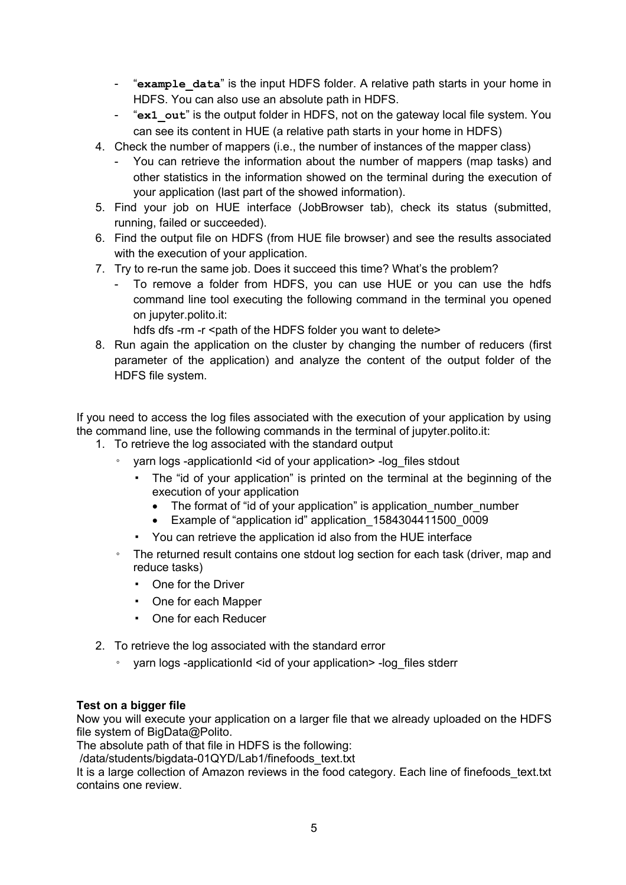- "example data" is the input HDFS folder. A relative path starts in your home in HDFS. You can also use an absolute path in HDFS.
- "**ex1\_out**" is the output folder in HDFS, not on the gateway local file system. You can see its content in HUE (a relative path starts in your home in HDFS)
- 4. Check the number of mappers (i.e., the number of instances of the mapper class)
	- You can retrieve the information about the number of mappers (map tasks) and other statistics in the information showed on the terminal during the execution of your application (last part of the showed information).
- 5. Find your job on HUE interface (JobBrowser tab), check its status (submitted, running, failed or succeeded).
- 6. Find the output file on HDFS (from HUE file browser) and see the results associated with the execution of your application.
- 7. Try to re-run the same job. Does it succeed this time? What's the problem?
	- To remove a folder from HDFS, you can use HUE or you can use the hdfs command line tool executing the following command in the terminal you opened on jupyter.polito.it:
		- hdfs dfs -rm -r <path of the HDFS folder you want to delete>
- 8. Run again the application on the cluster by changing the number of reducers (first parameter of the application) and analyze the content of the output folder of the HDFS file system.

If you need to access the log files associated with the execution of your application by using the command line, use the following commands in the terminal of jupyter.polito.it:

- 1. To retrieve the log associated with the standard output
	- yarn logs -applicationId <id of your application> -log\_files stdout
		- " The "id of your application" is printed on the terminal at the beginning of the execution of your application
			- The format of "id of your application" is application number number
			- Example of "application id" application\_1584304411500\_0009
		- " You can retrieve the application id also from the HUE interface
	- The returned result contains one stdout log section for each task (driver, map and reduce tasks)
		- " One for the Driver
		- " One for each Mapper
		- " One for each Reducer
- 2. To retrieve the log associated with the standard error
	- yarn logs -applicationId <id of your application> -log\_files stderr

#### **Test on a bigger file**

Now you will execute your application on a larger file that we already uploaded on the HDFS file system of BigData@Polito.

The absolute path of that file in HDFS is the following:

/data/students/bigdata-01QYD/Lab1/finefoods\_text.txt

It is a large collection of Amazon reviews in the food category. Each line of finefoods\_text.txt contains one review.